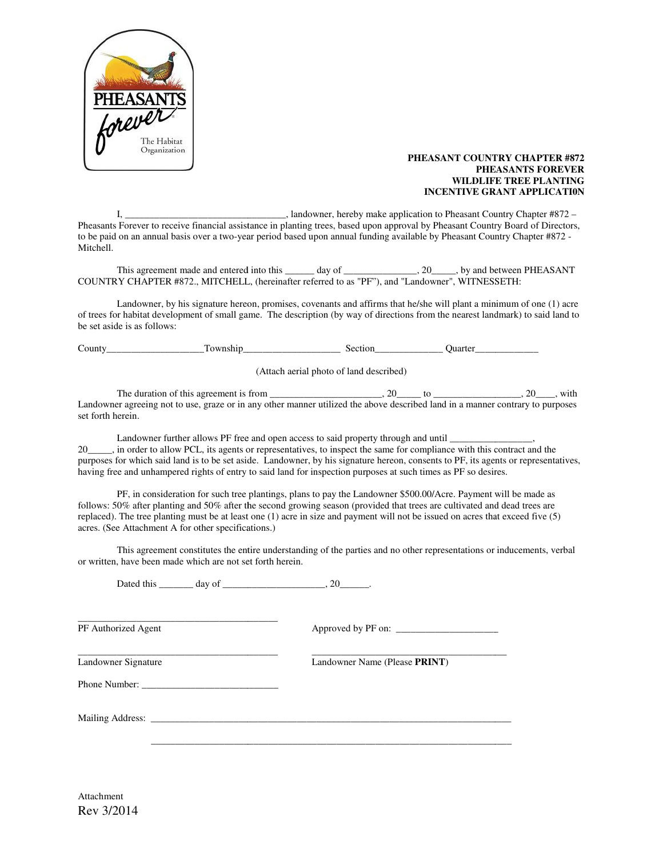

## **PHEASANT COUNTRY CHAPTER #872 PHEASANTS FOREVER WILDLIFE TREE PLANTING** PHEASANT COUNTRY CHAPTER #872<br>PHEASANTS FOREVER<br>WILDLIFE TREE PLANTING<br>INCENTIVE GRANT APPLICATION

I, \_\_\_\_\_\_\_\_\_\_\_\_\_\_\_\_\_\_\_\_\_\_\_\_\_\_\_\_\_\_\_\_, landowner, hereby make application to Pheasant Country Chapter #872 – Pheasants Forever to receive financial assistance in planting trees, based upon approval by Pheasant Country Board of Directors, to be paid on an annual basis over a two-year period based upon annual funding available by Pheasant Country Chapter #872 -Mitchell. application to Pheasant Country Club and the ceive financial assistance in planting trees, based upon approval by Pheasant Country Boar al basis over a two-year period based upon annual funding available by Pheasant Countr

This agreement made and entered into this \_\_\_\_\_\_ day of \_\_\_\_\_\_\_\_\_\_\_\_\_\_, 20\_\_\_\_\_, by and between PHEASANT This agreement made and entered into this \_\_\_\_\_\_\_ day of \_\_\_\_\_\_\_\_\_\_\_\_\_\_\_\_\_, by and between<br>COUNTRY CHAPTER #872., MITCHELL, (hereinafter referred to as "PF"), and "Landowner", WITNESSETH:

COUNTRY CHAPTER #872., MITCHELL, (hereinafter referred to as "PF"), and "Landowner", WITNESSETH:<br>Landowner, by his signature hereon, promises, covenants and affirms that he/she will plant a minimum of one (1) acre of trees for habitat development of small game. The description (by way of directions from the nearest landmark) to said land to be set aside is as follows:

County\_\_\_\_\_\_\_\_\_\_\_\_\_\_\_\_\_\_\_\_Township\_\_\_\_\_\_\_\_\_\_\_\_\_\_\_\_\_\_\_\_ Section\_\_\_\_\_\_\_\_\_\_\_\_\_\_ Quarter\_\_\_\_\_\_\_\_\_\_\_\_\_ \_\_\_\_\_\_\_\_\_\_\_\_\_\_\_\_\_\_\_\_Township\_\_\_\_\_\_\_\_\_\_\_\_\_\_\_\_\_\_\_\_ Section\_\_\_\_\_\_\_\_\_\_\_\_\_\_ Quarter\_\_\_\_\_\_\_\_\_\_\_\_\_

(Attach aerial photo of land described)

The duration of this agreement is from \_\_\_\_\_\_\_\_\_\_\_\_\_\_\_\_\_\_\_, 20\_\_\_\_\_\_ to \_\_\_\_\_\_\_\_\_\_\_\_\_\_\_\_\_\_\_, 20\_\_\_\_, with Landowner agreeing not to use, graze or in any other manner utilized the above described land in a manner contrary to purposes set forth herein.

Landowner further allows PF free and open access to said property through and until \_\_\_ 20\_\_\_\_\_, in order to allow PCL, its agents or representatives, to inspect the same for compliance with this contract and the purposes for which said land is to be set aside. Landowner, by his signature hereon, consents to PF, its agents or representatives, having free and unhampered rights of entry to said land for inspection purposes at such times as PF so desires. is from 20\_\_\_\_, with reeing not use, or in manner contrary open said property through and until \_\_\_\_\_\_\_\_\_\_\_\_\_\_\_\_\_,contract and signature hereon, consents to PF, its agents or representatives, Township<br>Cluster Counter Counter Counter Counter Counter (Attach aerial photo of land described)<br>The duration of this agreement is from the manner utilized the above described land in a manner contrary to purposes<br>h herein

PF, in consideration for such tree plantings, plans to pay the Landowner \$500.00/Acre. Payment will be made as follows: 50% after planting and 50% after the second growing season (provided that trees are cultivated and dead trees are follows: 50% after planting and 50% after the second growing season (provided that trees are cultivated and dead trees are<br>replaced). The tree planting must be at least one (1) acre in size and payment will not be issued o acres. (See Attachment A for other specifications.)

This agreement constitutes the entire understanding of the parties and no other representations or inducements, verbal have been made which are not set forth herein. or written, have been made which are not set forth

Dated this day of 20 and  $\frac{1}{2}$ , 20 and  $\frac{1}{2}$ \_\_\_\_\_\_\_\_\_\_\_\_\_\_\_\_\_\_\_\_\_\_\_\_\_\_\_\_\_\_\_\_\_\_\_\_\_\_\_\_\_ PF Authorized Agent \_\_\_\_\_\_\_\_\_\_\_\_\_\_\_\_\_\_\_\_\_\_\_\_\_\_\_\_\_\_\_\_\_\_\_\_\_\_\_\_\_ Landowner Signature Phone Number: \_\_\_\_\_\_\_\_\_\_\_\_\_\_\_\_\_\_\_\_\_\_\_\_\_\_\_\_ r: Mailing Address: \_\_\_\_\_\_\_\_\_\_\_\_\_\_\_\_\_\_\_\_\_\_\_\_\_\_\_\_\_\_\_\_\_\_\_\_\_\_\_\_\_\_\_\_\_\_\_\_\_\_\_\_\_\_\_\_\_\_\_\_\_\_\_\_\_\_\_\_\_\_\_\_\_\_  $\overline{\phantom{a}}$  ,  $\overline{\phantom{a}}$  ,  $\overline{\phantom{a}}$  ,  $\overline{\phantom{a}}$  ,  $\overline{\phantom{a}}$  ,  $\overline{\phantom{a}}$  ,  $\overline{\phantom{a}}$  ,  $\overline{\phantom{a}}$  ,  $\overline{\phantom{a}}$  ,  $\overline{\phantom{a}}$  ,  $\overline{\phantom{a}}$  ,  $\overline{\phantom{a}}$  ,  $\overline{\phantom{a}}$  ,  $\overline{\phantom{a}}$  ,  $\overline{\phantom{a}}$  ,  $\overline{\phantom{a}}$ \_\_\_\_\_\_\_\_\_\_\_\_\_\_\_\_\_\_\_\_\_\_\_\_\_\_\_\_\_\_\_\_\_\_\_\_\_\_\_\_\_ Approved by PF on: \_\_\_\_\_\_\_\_\_\_\_\_\_\_\_\_\_\_\_\_\_\_\_\_\_\_\_\_\_\_\_\_\_\_\_\_\_\_\_\_\_ \_\_\_\_\_\_\_\_\_\_\_\_\_\_\_\_\_\_\_\_\_\_\_\_\_\_\_\_\_\_\_\_\_\_\_\_\_\_\_\_ Landowner Name (Please **PRINT**)  $\overline{\phantom{a}}$  , and the set of the set of the set of the set of the set of the set of the set of the set of the set of the set of the set of the set of the set of the set of the set of the set of the set of the set of the s lantings, plans to pay the Landowner \$500.00/Acre. Payment will be made as<br>execond growing season (provided that trees are cultivated and dead trees are<br>one (1) acre in size and payment will not be issued on acres that exc

Rev 3/2014 Attachment